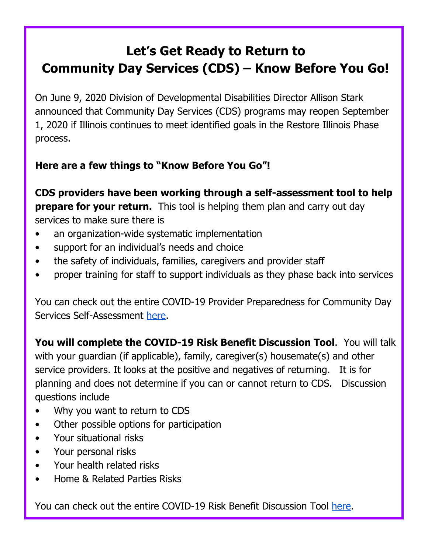## **Let's Get Ready to Return to Community Day Services (CDS) – Know Before You Go!**

On June 9, 2020 Division of Developmental Disabilities Director Allison Stark announced that Community Day Services (CDS) programs may reopen September 1, 2020 if Illinois continues to meet identified goals in the Restore Illinois Phase process.

## **Here are a few things to "Know Before You Go"!**

**CDS providers have been working through a self-assessment tool to help prepare for your return.** This tool is helping them plan and carry out day services to make sure there is

- an organization-wide systematic implementation
- support for an individual's needs and choice
- the safety of individuals, families, caregivers and provider staff
- proper training for staff to support individuals as they phase back into services

You can check out the entire COVID-19 Provider Preparedness for Community Day Services Self-Assessment [here](https://www.dhs.state.il.us/OneNetLibrary/27897/documents/DD/Illinois_CV_Provider_Preparedness_Self_Assessment.pdf).

**You will complete the COVID-19 Risk Benefit Discussion Tool**. You will talk with your guardian (if applicable), family, caregiver(s) housemate(s) and other service providers. It looks at the positive and negatives of returning. It is for planning and does not determine if you can or cannot return to CDS. Discussion questions include

- Why you want to return to CDS
- Other possible options for participation
- Your situational risks
- Your personal risks
- Your health related risks
- Home & Related Parties Risks

You can check out the entire COVID-19 Risk Benefit Discussion Tool [here](https://www.dhs.state.il.us/page.aspx?item=125503).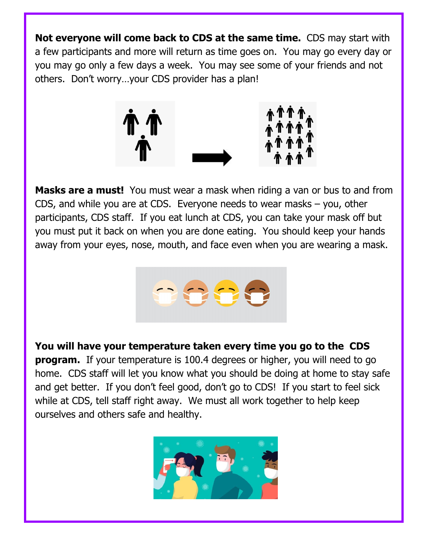**Not everyone will come back to CDS at the same time.** CDS may start with a few participants and more will return as time goes on. You may go every day or you may go only a few days a week. You may see some of your friends and not others. Don't worry…your CDS provider has a plan!



**Masks are a must!** You must wear a mask when riding a van or bus to and from CDS, and while you are at CDS. Everyone needs to wear masks – you, other participants, CDS staff. If you eat lunch at CDS, you can take your mask off but you must put it back on when you are done eating. You should keep your hands away from your eyes, nose, mouth, and face even when you are wearing a mask.



**You will have your temperature taken every time you go to the CDS program.** If your temperature is 100.4 degrees or higher, you will need to go home. CDS staff will let you know what you should be doing at home to stay safe and get better. If you don't feel good, don't go to CDS! If you start to feel sick while at CDS, tell staff right away. We must all work together to help keep ourselves and others safe and healthy.

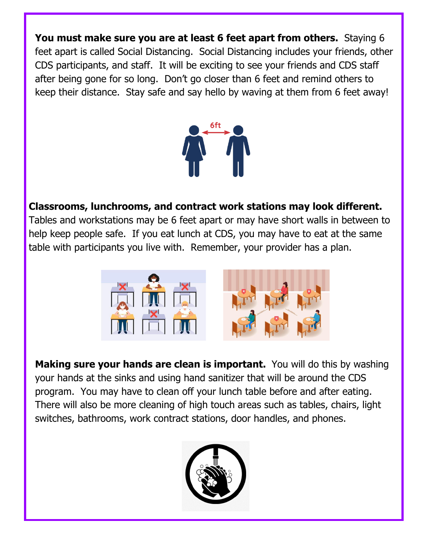**You must make sure you are at least 6 feet apart from others.** Staying 6 feet apart is called Social Distancing. Social Distancing includes your friends, other CDS participants, and staff. It will be exciting to see your friends and CDS staff after being gone for so long. Don't go closer than 6 feet and remind others to keep their distance. Stay safe and say hello by waving at them from 6 feet away!



## **Classrooms, lunchrooms, and contract work stations may look different.**

Tables and workstations may be 6 feet apart or may have short walls in between to help keep people safe. If you eat lunch at CDS, you may have to eat at the same table with participants you live with. Remember, your provider has a plan.



**Making sure your hands are clean is important.** You will do this by washing your hands at the sinks and using hand sanitizer that will be around the CDS program. You may have to clean off your lunch table before and after eating. There will also be more cleaning of high touch areas such as tables, chairs, light switches, bathrooms, work contract stations, door handles, and phones.